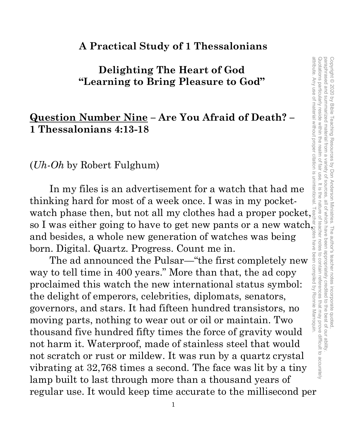#### **A Practical Study of 1 Thessalonians**

## **Delighting The Heart of God "Learning to Bring Pleasure to God"**

#### **Question Number Nine – Are You Afraid of Death? – 1 Thessalonians 4:13-18**

(*Uh-Oh* by Robert Fulghum)

In my files is an advertisement for a watch that had me thinking hard for most of a week once. I was in my pocketwatch phase then, but not all my clothes had a proper pocket, so I was either going to have to get new pants or a new watch, and besides, a whole new generation of watches was being born. Digital. Quartz. Progress. Count me in.

The ad announced the Pulsar—"the first completely new way to tell time in 400 years." More than that, the ad copy proclaimed this watch the new international status symbol: the delight of emperors, celebrities, diplomats, senators, governors, and stars. It had fifteen hundred transistors, no moving parts, nothing to wear out or oil or maintain. Two thousand five hundred fifty times the force of gravity would not harm it. Waterproof, made of stainless steel that would not scratch or rust or mildew. It was run by a quartz crystal vibrating at 32,768 times a second. The face was lit by a tiny lamp built to last through more than a thousand years of regular use. It would keep time accurate to the millisecond per

1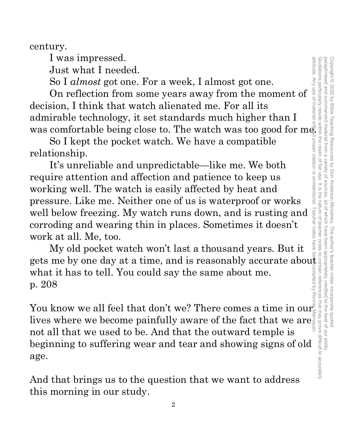paraphrased and summarized material from a attribute. Any use of material without proper citation is unintentional. Teacher notes have been compiled by Ronnie Marroquin.Quotations particularly reside within the realm of fair use. It is the nature of teacher notes to contain references that may prove difficult to accurately paraphrased and summarized material from a variety of sources, all of which have been appropriately credited to the best of our ability. Copyright © 2020 by Bible Teaching Resources by Don Anderson Ministries. The author's teacher notes incorporate quoted Copyright © 2020 by Bible Teaching Resources by Don Anderson Ministries. The author's teacher notes incorporate quoted, variety of sources all of which have been appropriately credited to the best of our ability

century.

I was impressed.

Just what I needed.

So I *almost* got one. For a week, I almost got one.

On reflection from some years away from the moment of decision, I think that watch alienated me. For all its admirable technology, it set standards much higher than I was comfortable being close to. The watch was too good for  $m\bar{e}$ .

So I kept the pocket watch. We have a compatible relationship.

It's unreliable and unpredictable—like me. We both require attention and affection and patience to keep us working well. The watch is easily affected by heat and pressure. Like me. Neither one of us is waterproof or works well below freezing. My watch runs down, and is rusting and corroding and wearing thin in places. Sometimes it doesn't work at all. Me, too.

My old pocket watch won't last a thousand years. But it gets me by one day at a time, and is reasonably accurate about what it has to tell. You could say the same about me. p. 208

You know we all feel that don't we? There comes a time in  $\text{our}_\Xi^\$ lives where we become painfully aware of the fact that we are not all that we used to be. And that the outward temple is beginning to suffering wear and tear and showing signs of old age.

And that brings us to the question that we want to address this morning in our study.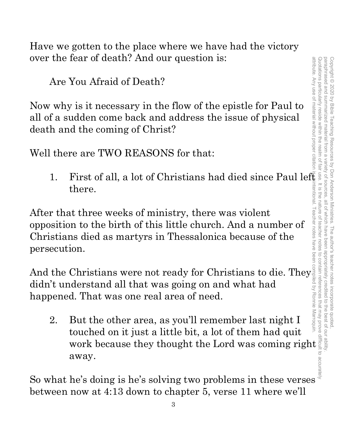Have we gotten to the place where we have had the victory over the fear of death? And our question is:

Are You Afraid of Death?

Now why is it necessary in the flow of the epistle for Paul to all of a sudden come back and address the issue of physical death and the coming of Christ?

Well there are TWO REASONS for that:

1. First of all, a lot of Christians had died since Paul left there.

After that three weeks of ministry, there was violent opposition to the birth of this little church. And a number of Christians died as martyrs in Thessalonica because of the persecution.

And the Christians were not ready for Christians to die. They $\frac{1}{2}$ didn't understand all that was going on and what had happened. That was one real area of need.

2. But the other area, as you'll remember last night I touched on it just a little bit, a lot of them had quit First of all, a lot of Christians had died since Paul left<br>there.<br>
at three weeks of ministry, there was violent<br>
in to the birth of this little church. And a number of<br>
and distant in the strength of this little church. away.

So what he's doing is he's solving two problems in these verses between now at 4:13 down to chapter 5, verse 11 where we'll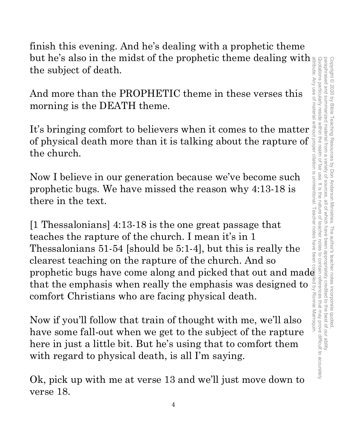paraphrased and summarized material from a attribute. Any use of material without proper citation is unintentional. Teacher notes have been compiled by Ronnie Marroquin.Quotations particularly reside within the realm of fair use. It is the nature of teacher notes to contain references that may prove difficult to accurately paraphrased and summarized material from a variety of sources, all of which have been appropriately credited to the best of our ability. Copyright © 2020 by Bible Teaching Resources by Don Anderson Ministries. The author's teacher notes incorporate quoted Copyright © 2020 by Bible Teaching Resources by Don Anderson Ministries. The author's teacher notes incorporate quoted, variety of sources. all of which have been appropriately credited to the best of our ability

finish this evening. And he's dealing with a prophetic theme but he's also in the midst of the prophetic theme dealing with the subject of death.

And more than the PROPHETIC theme in these verses this morning is the DEATH theme.

It's bringing comfort to believers when it comes to the matter of physical death more than it is talking about the rapture of the church.

Now I believe in our generation because we've become such prophetic bugs. We have missed the reason why 4:13-18 is there in the text.

[1 Thessalonians] 4:13-18 is the one great passage that teaches the rapture of the church. I mean it's in 1 Thessalonians 51-54 [should be 5:1-4], but this is really the clearest teaching on the rapture of the church. And so prophetic bugs have come along and picked that out and made that the emphasis when really the emphasis was designed to comfort Christians who are facing physical death.

Now if you'll follow that train of thought with me, we'll also have some fall-out when we get to the subject of the rapture here in just a little bit. But he's using that to comfort them with regard to physical death, is all I'm saying.

Ok, pick up with me at verse 13 and we'll just move down to verse 18.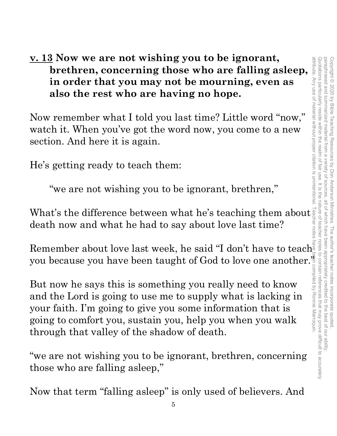**v. 13 Now we are not wishing you to be ignorant, brethren, concerning those who are falling asleep, in order that you may not be mourning, even as also the rest who are having no hope.**

Now remember what I told you last time? Little word "now," watch it. When you've got the word now, you come to a new section. And here it is again.

He's getting ready to teach them:

"we are not wishing you to be ignorant, brethren,"

What's the difference between what he's teaching them about  $\frac{1}{8}$  death now and what he had to say about love last time? death now and what he had to say about love last time?

Remember about love last week, he said "I don't have to teach you because you have been taught of God to love one another."

But now he says this is something you really need to know and the Lord is going to use me to supply what is lacking in your faith. I'm going to give you some information that is going to comfort you, sustain you, help you when you walk through that valley of the shadow of death.

"we are not wishing you to be ignorant, brethren, concerning those who are falling asleep,"

Now that term "falling asleep" is only used of believers. And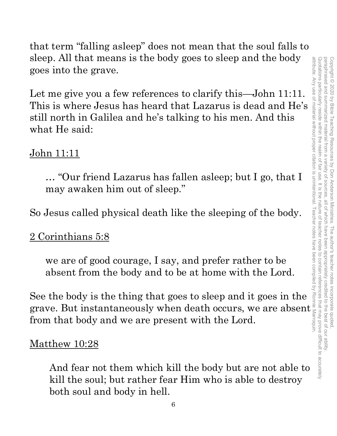Quotations particularly reside within the realm of fair use. It is the nature of teacher notes to contain references that may prove difficult to accurately paraphrased and summarized material from attribute. Any use of material without proper citation is unintentional. Teacher notes have been compiled by Ronnie Marroquin.Quotations particularly reside within the realm of fair use. It is the nature of teacher notes to contain references that may prove difficult to accurately paraphrased and summarized material from a variety of sources, all of which have been appropriately credited to the best of our ability. Copyright © 2020 by Bible Teaching Resources Copyright © 2020 by Bible Teaching Resources by Don Anderson Ministries. The author's teacher notes incorporate quoted,  $\overline{\omega}$ variety of sources by Don Anderson Ministries. The author's teacher notes incorporate quoted all of which have been dpropriately credited to the best of our ability

that term "falling asleep" does not mean that the soul falls to sleep. All that means is the body goes to sleep and the body goes into the grave.

Let me give you a few references to clarify this—John 11:11. This is where Jesus has heard that Lazarus is dead and He's still north in Galilea and he's talking to his men. And this what He said: sleep. All that means is the body goes to sleep and the body<br>goes into the grave.<br>Let me give you a few references to clarify this—John 11:11.<br>This is where Jesus has heard that Lazarus is dead and He's<br>sill north in Gali

# John 11:11

… "Our friend Lazarus has fallen asleep; but I go, that I may awaken him out of sleep."

So Jesus called physical death like the sleeping of the body.

# 2 Corinthians 5:8

we are of good courage, I say, and prefer rather to be absent from the body and to be at home with the Lord.

See the body is the thing that goes to sleep and it goes in the from that body and we are present with the Lord.

## Matthew 10:28

And fear not them which kill the body but are not able to kill the soul; but rather fear Him who is able to destroy both soul and body in hell.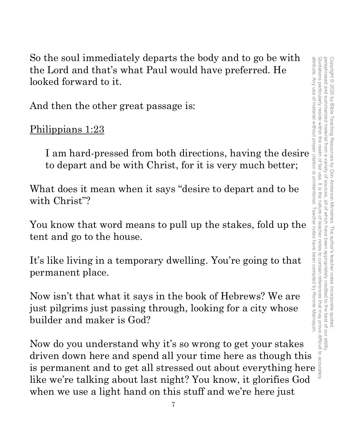paraphrased and summarized material from a attribute. Any use of material without proper citation is unintentional. Teacher notes have been compiled by Ronnie Marroquin.Quotations particularly reside within the realm of fair use. It is the nature of teacher notes to contain references that may prove difficult to accurately paraphrased and summarized material from a variety of sources, all of which have been appropriately credited to the best of our ability. Copyright © 2020 by Bible Teaching Resources by Don Anderson Ministries. The author's teacher notes incorporate quoted Copyright © 2020 by Bible Teaching Resources by Don Anderson Ministries. The author's teacher notes incorporate quoted, variety of sources all of which have been appropriately credited to the best of our ability

So the soul immediately departs the body and to go be with the Lord and that's what Paul would have preferred. He looked forward to it.

And then the other great passage is:

Philippians 1:23

to depart and be with Christ, for it is very much better;

What does it mean when it says "desire to depart and to be with Christ"?

You know that word means to pull up the stakes, fold up the tent and go to the house.

It's like living in a temporary dwelling. You're going to that permanent place.

In a soul immediately departs the body and to go be with<br>
Lord and that's what Paul would have preferred. He<br>
sed forward to it.<br>
d then the other great passage is:<br>
lippians 1:23<br>
I am hard-pressed from both directions, h Now isn't that what it says in the book of Hebrews? We are just pilgrims just passing through, looking for a city whose builder and maker is God?

Now do you understand why it's so wrong to get your stakes driven down here and spend all your time here as though this So the soul mediately departs the body and to go be with the lord and that's what Paul would have preferred. He<br>
looked forward to it.<br>
And then the other great passage is:<br>
Philippians 1:23<br>
I am hard-pressed from both di like we're talking about last night? You know, it glorifies God when we use a light hand on this stuff and we're here just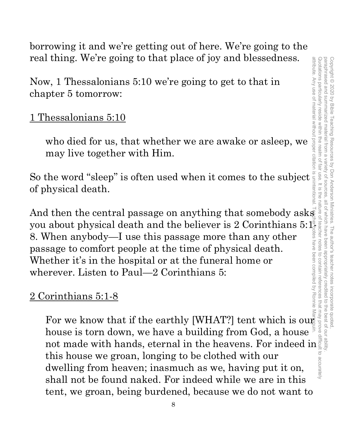paraphrased and summarized material from a variety of sources attribute. Any use of material without proper citation is unintentional. Teacher notes have been compiled by Ronnie Marroquin.Quotations particularly reside within the realm of fair use. It is the nature of teacher notes to contain references that may prove difficult to accurately paraphrased and summarized material from a variety of sources, all of which have been appropriately credited to the best of our ability. Copyright © 2020 by Bible Teaching Resources Copyright © 2020 by Bible Teaching Resources by Don Anderson Ministries. The author's teacher notes incorporate quoted, by Don Anderson Ministries. The author's teacher notes incorporate quotec , all of which have been appropriately credited

borrowing it and we're getting out of here. We're going to the real thing. We're going to that place of joy and blessedness.

Now, 1 Thessalonians 5:10 we're going to get to that in chapter 5 tomorrow:

1 Thessalonians 5:10

who died for us, that whether we are awake or asleep, we may live together with Him.

Fracturing. We re going to that place of joy and blessedness.<br>
Now, 1 Thessalonians 5:10 we're going to get to that in<br>
chapter 5 tomorrow:<br>
1 Thessalonians 5:10<br>
who died for us, that whether we are awake or asleep, we<br> of physical death.

real thing. We re going to that place of joy and biessedness.<br>
Now, 1 Thessalonians 5:10 we're going to get to that in<br>
chapter 5 tomorrow:<br>
1 Thessalonians 5:10<br>
who died for us, that whether we are awake or asleep, we m you about physical death and the believer is 2 Corinthians 5:1<sup>3</sup><br>8. When anybody—I use this passage more than any other passage to comfort people at the time of physical death.<br>Whether it's in the hospital or at the fune 8. When anybody—I use this passage more than any other passage to comfort people at the time of physical death. Whether it's in the hospital or at the funeral home or wherever. Listen to Paul—2 Corinthians 5:

# 2 Corinthians 5:1-8

For we know that if the earthly [WHAT?] tent which is out house is torn down, we have a building from God, a house not made with hands, eternal in the heavens. For indeed in this house we groan, longing to be clothed with our dwelling from heaven; inasmuch as we, having put it on, shall not be found naked. For indeed while we are in this tent, we groan, being burdened, because we do not want to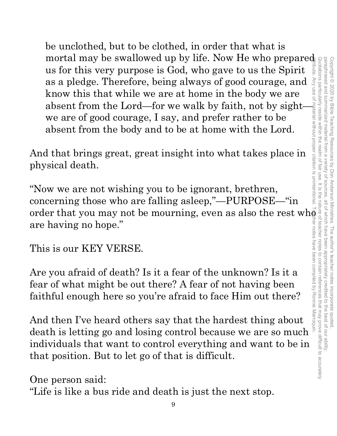be unclothed, but to be clothed, in order that what is mortal may be swallowed up by life. Now He who prepared us for this very purpose is God, who gave to us the Spirit as a pledge. Therefore, being always of good courage, and know this that while we are at home in the body we are absent from the Lord—for we walk by faith, not by sight we are of good courage, I say, and prefer rather to be absent from the body and to be at home with the Lord.

And that brings great, great insight into what takes place in physical death.

"Now we are not wishing you to be ignorant, brethren, concerning those who are falling asleep,"—PURPOSE—"in order that you may not be mourning, even as also the rest wh $\bar{\textbf{e}}$ are having no hope."

This is our KEY VERSE.

Are you afraid of death? Is it a fear of the unknown? Is it a fear of what might be out there? A fear of not having been faithful enough here so you're afraid to face Him out there?

And then I've heard others say that the hardest thing about death is letting go and losing control because we are so much individuals that want to control everything and want to be in that position. But to let go of that is difficult.

One person said:

"Life is like a bus ride and death is just the next stop.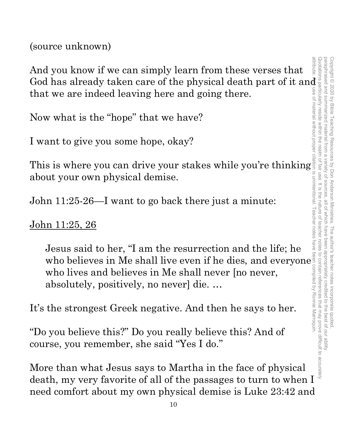(source unknown)

And you know if we can simply learn from these verses that God has already taken care of the physical death part of it and that we are indeed leaving here and going there. attribute. Any use of material without proper citation is unintentional. Teacher notes have been compiled by Ronnie Marroquin.

Now what is the "hope" that we have?

I want to give you some hope, okay?

This is where you can drive your stakes while you're thinking about your own physical demise.

John 11:25-26—I want to go back there just a minute:

John 11:25, 26

Jesus said to her, "I am the resurrection and the life; he who believes in Me shall live even if he dies, and everyone who lives and believes in Me shall never [no never, absolutely, positively, no never] die. …

It's the strongest Greek negative. And then he says to her.

"Do you believe this?" Do you really believe this? And of course, you remember, she said "Yes I do."

More than what Jesus says to Martha in the face of physical death, my very favorite of all of the passages to turn to when I need comfort about my own physical demise is Luke 23:42 and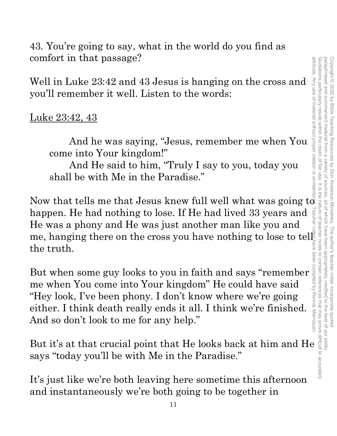43. You're going to say, what in the world do you find as comfort in that passage?

Well in Luke 23:42 and 43 Jesus is hanging on the cross and you'll remember it well. Listen to the words:

## Luke 23:42, 43

And he was saying, "Jesus, remember me when You come into Your kingdom!"

And He said to him, "Truly I say to you, today you shall be with Me in the Paradise."

Now that tells me that Jesus knew full well what was going  $t\bar{\phi}$ happen. He had nothing to lose. If He had lived 33 years and He was a phony and He was just another man like you and the truth.

He was a phony and He was just another man like you and<br>
me, hanging there on the cross you have nothing to lose to tell<br>
the truth.<br>
<br>
But when some guy looks to you in faith and says "remember"<br>
me when You come into Yo But when some guy looks to you in faith and says "remember me when You come into Your kingdom" He could have said "Hey look, I've been phony. I don't know where we're going either. I think death really ends it all. I think we're finished. And so don't look to me for any help."

But it's at that crucial point that He looks back at him and He says "today you'll be with Me in the Paradise."

It's just like we're both leaving here sometime this afternoon and instantaneously we're both going to be together in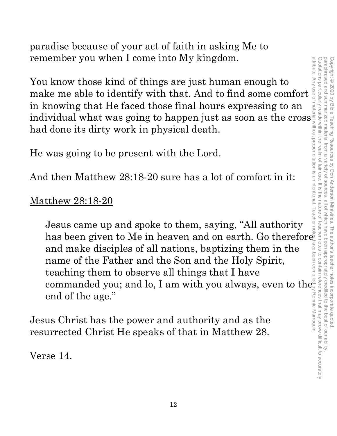paradise because of your act of faith in asking Me to remember you when I come into My kingdom.

You know those kind of things are just human enough to make me able to identify with that. And to find some comfort in knowing that He faced those final hours expressing to an individual what was going to happen just as soon as the cross had done its dirty work in physical death.

He was going to be present with the Lord.

And then Matthew 28:18-20 sure has a lot of comfort in it:

## Matthew 28:18-20

Jesus came up and spoke to them, saying, "All authority has been given to Me in heaven and on earth. Go therefore  $\bar{\mathbb{F}}$ and make disciples of all nations, baptizing them in the name of the Father and the Son and the Holy Spirit, teaching them to observe all things that I have commanded you; and lo, I am with you always, even to the  $e^{\alpha}_{\rm s}$ end of the age."

Jesus Christ has the power and authority and as the resurrected Christ He speaks of that in Matthew 28.

Verse 14.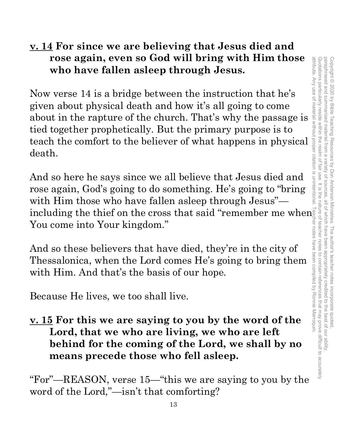# **v. 14 For since we are believing that Jesus died and rose again, even so God will bring with Him those who have fallen asleep through Jesus.**

Now verse 14 is a bridge between the instruction that he's given about physical death and how it's all going to come rose again, even so God will bring with Him those<br>
who have fallen asleep through Jesus.<br>
Now verse 14 is a bridge between the instruction that he's<br>
given about physical death and how it's all going to come<br>
about in the tied together prophetically. But the primary purpose is to teach the comfort to the believer of what happens in physical death.

And so here he says since we all believe that Jesus died and rose again, God's going to do something. He's going to "bring with Him those who have fallen asleep through Jesus" including the thief on the cross that said "remember me when  $\overline{\mathbb{R}}$ You come into Your kingdom."

And so these believers that have died, they're in the city of Thessalonica, when the Lord comes He's going to bring them with Him. And that's the basis of our hope.

Because He lives, we too shall live.

# **v. 15 For this we are saying to you by the word of the Lord, that we who are living, we who are left behind for the coming of the Lord, we shall by no means precede those who fell asleep.**

"For"—REASON, verse 15—"this we are saying to you by the word of the Lord,"—isn't that comforting?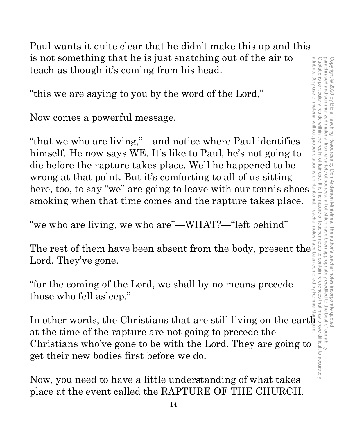Paul wants it quite clear that he didn't make this up and this is not something that he is just snatching out of the air to teach as though it's coming from his head.

"this we are saying to you by the word of the Lord,"

Now comes a powerful message.

"that we who are living,"—and notice where Paul identifies himself. He now says WE. It's like to Paul, he's not going to die before the rapture takes place. Well he happened to be wrong at that point. But it's comforting to all of us sitting is not something that he is just snatching out of the air to<br>teach as though it's coming from his head.<br>
"this we are saying to you by the word of the Lord,"<br>
Now comes a powerful message.<br>
"that we who are living,"—and n smoking when that time comes and the rapture takes place.

"we who are living, we who are"—WHAT?—"left behind"

The rest of them have been absent from the body, present the Lord. They've gone.

"for the coming of the Lord, we shall by no means precede those who fell asleep."

The rest of them have been absent from the body, present the  $\frac{1}{8}$  and  $\frac{1}{8}$  and  $\frac{1}{8}$  and  $\frac{1}{8}$  and  $\frac{1}{8}$  are still if  $\frac{1}{8}$  are still as so and  $\frac{1}{8}$  and  $\frac{1}{8}$  are still if  $\frac{1}{8}$  and at the time of the rapture are not going to precede the Christians who've gone to be with the Lord. They are going to get their new bodies first before we do.

Now, you need to have a little understanding of what takes place at the event called the RAPTURE OF THE CHURCH.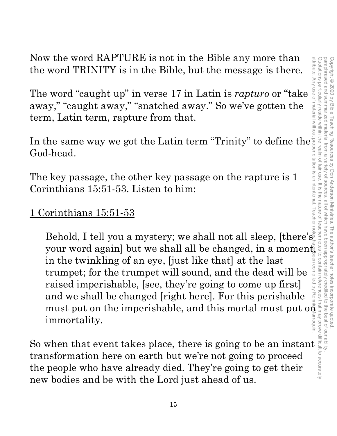Now the word RAPTURE is not in the Bible any more than the word TRINITY is in the Bible, but the message is there.

The word "caught up" in verse 17 in Latin is *rapturo* or "take away," "caught away," "snatched away." So we've gotten the term, Latin term, rapture from that.

In the same way we got the Latin term "Trinity" to define the God-head.

The key passage, the other key passage on the rapture is 1 Corinthians 15:51-53. Listen to him:

1 Corinthians 15:51-53

Behold, I tell you a mystery; we shall not all sleep, [there's your word again] but we shall all be changed, in a moment, in the twinkling of an eye, [just like that] at the last trumpet; for the trumpet will sound, and the dead will be raised imperishable, [see, they're going to come up first] and we shall be changed [right here]. For this perishable must put on the imperishable, and this mortal must put  $\overline{op}$ immortality. Now the word KAPTUKE is not in the Bible any more than<br>the word TRINITY is in the Bible, but the message is there.<br>The word "caught up" in verse 17 in Latin is *rapturo* or "take<br>away," "so we've gotten the<br>term, Latin te

transformation here on earth but we're not going to proceed the people who have already died. They're going to get their new bodies and be with the Lord just ahead of us.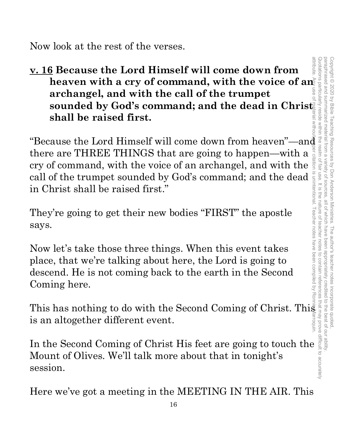Now look at the rest of the verses.

**v. 16 Because the Lord Himself will come down from**  heaven with a cry of command, with the voice of an **archangel, and with the call of the trumpet sounded by God's command; and the dead in Christ shall be raised first. 16 Because the Lord Himself will come down from heaven with a cry of command, with the voice of and archangel, and with the call of the trumpet<br>sounded by God's command; and the dead in Christ<sup>s</sup> and shall be raised firs** 

there are THREE THINGS that are going to happen—with a cry of command, with the voice of an archangel, and with the call of the trumpet sounded by God's command; and the dead in Christ shall be raised first."

They're going to get their new bodies "FIRST" the apostle says.

Now let's take those three things. When this event takes place, that we're talking about here, the Lord is going to descend. He is not coming back to the earth in the Second Coming here.

This has nothing to do with the Second Coming of Christ. This is an altogether different event.

In the Second Coming of Christ His feet are going to touch the Mount of Olives. We'll talk more about that in tonight's session.

Here we've got a meeting in the MEETING IN THE AIR. This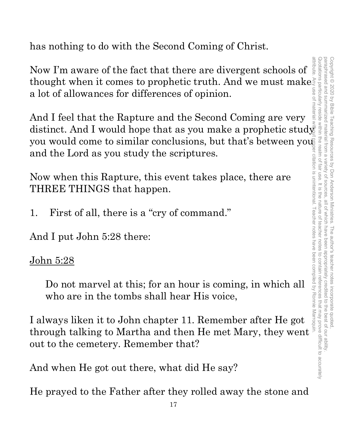paraphrased and summarized material from a variety of sources attribute. Any use of material without proper citation is unintentional. Teacher notes have been compiled by Ronnie Marroquin.Quotations particularly reside within Quotations particularly reside within the realm of fair use. It is the nature of teacher notes to contain references that may prove difficult to accurately paraphrased and summarized material from a variety of sources, all of which have been appropriately credited to the best of our ability. Copyright © 2020 by Bible Teaching Resources by Don Anderson Ministries. The author's teacher notes incorporate quoted Copyright © 2020 by Bible Teaching Resources by Don Anderson Ministries. The author's teacher notes incorporate quoted, all of Which have been appropriately credited to the best of our ability.

has nothing to do with the Second Coming of Christ.

Now I'm aware of the fact that there are divergent schools of thought when it comes to prophetic truth. And we must make a lot of allowances for differences of opinion. a lot of allowances for differences of opinion.

And I feel that the Rapture and the Second Coming are very distinct. And I would hope that as you make a prophetic study and the Lord as you study the scriptures.

Now when this Rapture, this event takes place, there are THREE THINGS that happen.

1. First of all, there is a "cry of command."

And I put John 5:28 there:

# John 5:28

Do not marvel at this; for an hour is coming, in which all who are in the tombs shall hear His voice,

you would come to similar conclusions, but that's between you and the Lord as you study the scriptures.<br>
Now when this Rapture, this event takes place, there are<br>
THREE THINGS that happen.<br>
1. First of all, there is a "cry I always liken it to John chapter 11. Remember after He got through talking to Martha and then He met Mary, they went out to the cemetery. Remember that?

And when He got out there, what did He say?

He prayed to the Father after they rolled away the stone and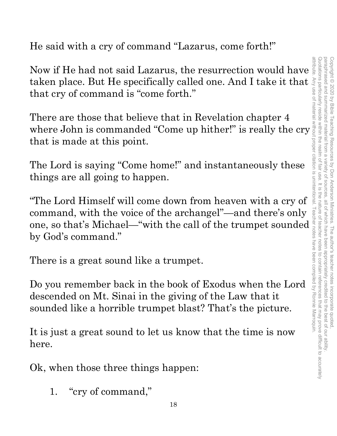He said with a cry of command "Lazarus, come forth!"

Now if He had not said Lazarus, the resurrection would have taken place. But He specifically called one. And I take it that that cry of command is "come forth."

There are those that believe that in Revelation chapter 4 where John is commanded "Come up hither!" is really the cry that is made at this point.

The Lord is saying "Come home!" and instantaneously these things are all going to happen.

"The Lord Himself will come down from heaven with a cry of command, with the voice of the archangel"—and there's only command, with the voice of the archangel"—and there's only all one, so that's Michael—"with the call of the trumpet sounded by God's command."<br>
There is a great sound like a trumpet.<br>
Do you remember back in the book of E by God's command."

There is a great sound like a trumpet.

Do you remember back in the book of Exodus when the Lord descended on Mt. Sinai in the giving of the Law that it sounded like a horrible trumpet blast? That's the picture.

It is just a great sound to let us know that the time is now here.

Ok, when those three things happen:

1. "cry of command,"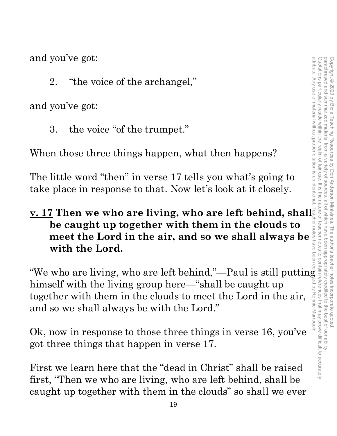and you've got:

2. "the voice of the archangel,"

and you've got:

3. the voice "of the trumpet."

When those three things happen, what then happens?

The little word "then" in verse 17 tells you what's going to take place in response to that. Now let's look at it closely.

# **v. 17 Then we who are living, who are left behind, shall be caught up together with them in the clouds to meet the Lord in the air, and so we shall always be with the Lord.**

"We who are living, who are left behind,"—Paul is still putting himself with the living group here—"shall be caught up together with them in the clouds to meet the Lord in the air, and so we shall always be with the Lord."

Ok, now in response to those three things in verse 16, you've got three things that happen in verse 17.

First we learn here that the "dead in Christ" shall be raised first, "Then we who are living, who are left behind, shall be caught up together with them in the clouds" so shall we ever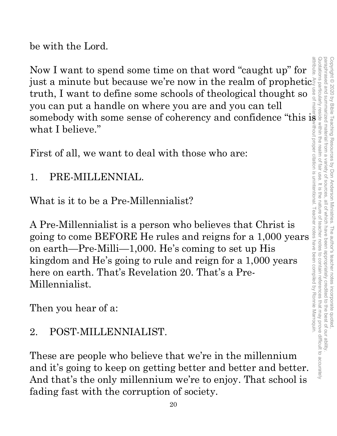be with the Lord.

Now I want to spend some time on that word "caught up" for just a minute but because we're now in the realm of prophetic truth, I want to define some schools of theological thought so you can put a handle on where you are and you can tell somebody with some sense of coherency and confidence "this is what I believe." attribute. Any use of material without proper citation is unintentional. Teacher notes have been compiled by Ronnie Marroquin.

First of all, we want to deal with those who are:

1. PRE-MILLENNIAL.

What is it to be a Pre-Millennialist?

A Pre-Millennialist is a person who believes that Christ is going to come BEFORE He rules and reigns for a 1,000 years on earth—Pre-Milli—1,000. He's coming to set up His kingdom and He's going to rule and reign for a 1,000 years here on earth. That's Revelation 20. That's a Pre-Millennialist.

Then you hear of a:

# 2. POST-MILLENNIALIST.

These are people who believe that we're in the millennium and it's going to keep on getting better and better and better. And that's the only millennium we're to enjoy. That school is fading fast with the corruption of society.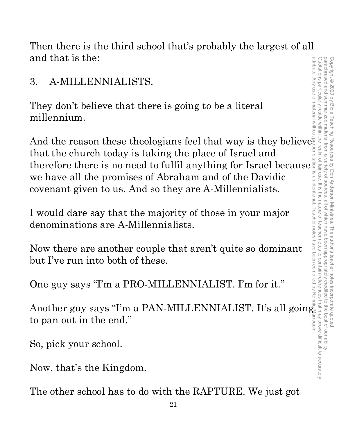Then there is the third school that's probably the largest of all and that is the:

3. A-MILLENNIALISTS.

They don't believe that there is going to be a literal millennium.

And the reason these theologians feel that way is they believe that the church today is taking the place of Israel and therefore there is no need to fulfil anything for Israel because we have all the promises of Abraham and of the Davidic covenant given to us. And so they are A-Millennialists.

I would dare say that the majority of those in your major denominations are A-Millennialists.

Now there are another couple that aren't quite so dominant but I've run into both of these.

One guy says "I'm a PRO-MILLENNIALIST. I'm for it."

Another guy says "I'm a PAN-MILLENNIALIST. It's all going to pan out in the end."

So, pick your school.

Now, that's the Kingdom.

The other school has to do with the RAPTURE. We just got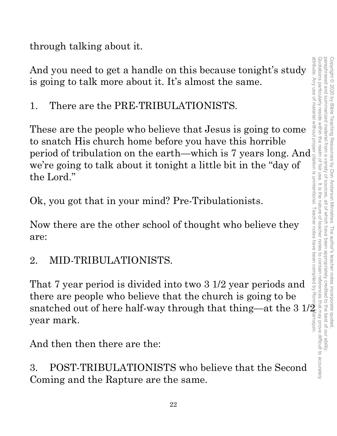through talking about it.

And you need to get a handle on this because tonight's study is going to talk more about it. It's almost the same.

1. There are the PRE-TRIBULATIONISTS.

These are the people who believe that Jesus is going to come to snatch His church home before you have this horrible to snatch His church home before you have this horrible<br>period of tribulation on the earth—which is 7 years long. And<br>we're going to talk about it tonight a little bit in the "day of<br>the Lord."<br>Ok, you got that in your mi we're going to talk about it tonight a little bit in the "day of the Lord."

Ok, you got that in your mind? Pre-Tribulationists.

Now there are the other school of thought who believe they are:

2. MID-TRIBULATIONISTS.

That 7 year period is divided into two 3 1/2 year periods and there are people who believe that the church is going to be snatched out of here half-way through that thing—at the 3  $1/\bar{2}$ year mark.

And then then there are the:

3. POST-TRIBULATIONISTS who believe that the Second Coming and the Rapture are the same.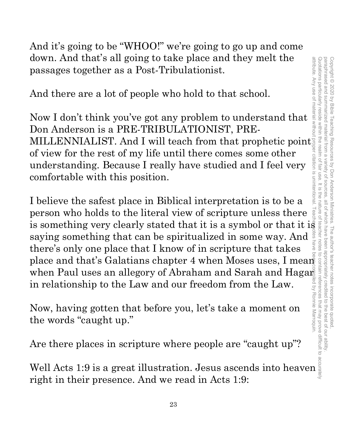And it's going to be "WHOO!" we're going to go up and come down. And that's all going to take place and they melt the passages together as a Post-Tribulationist.

And there are a lot of people who hold to that school.

Now I don't think you've got any problem to understand that Don Anderson is a PRE-TRIBULATIONIST, PREdown. And that s all going to take place and they melt the<br>passages together as a Post-Tribulationist.<br>And there are a lot of people who hold to that school.<br>Now I don't think you've got any problem to understand that<br>Don of view for the rest of my life until there comes some other understanding. Because I really have studied and I feel very comfortable with this position.

I believe the safest place in Biblical interpretation is to be a person who holds to the literal view of scripture unless there is something very clearly stated that it is a symbol or that it is saying something that can be spiritualized in some way. And there's only one place that I know of in scripture that takes down. And that's all going to take place and they melt the<br>passages together as a Post-Tribulationist.<br>And there are a lot of people who hold to that school.<br>Now I don't think you've got any problem to understand that<br>Don when Paul uses an allegory of Abraham and Sarah and Hagar<br>in relationship to the Law and our freedom from the Law.<br>Now, having gotten that before you, let's take a moment on<br>the words "caught up." in relationship to the Law and our freedom from the Law.

Now, having gotten that before you, let's take a moment on the words "caught up."

Are there places in scripture where people are "caught up"?

Well Acts 1:9 is a great illustration. Jesus ascends into heaven right in their presence. And we read in Acts 1:9: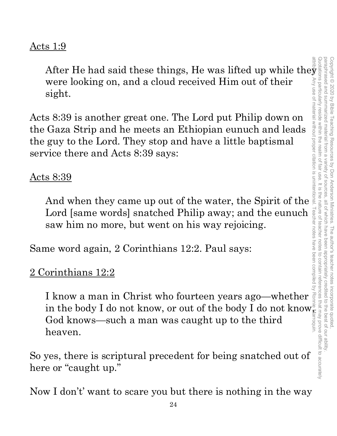## Acts 1:9

were looking on, and a cloud received Him out of their sight.

Acts 8:39 is another great one. The Lord put Philip down on the Gaza Strip and he meets an Ethiopian eunuch and leads the guy to the Lord. They stop and have a little baptismal service there and Acts 8:39 says:

#### Acts 8:39

And when they came up out of the water, the Spirit of the Lord [same words] snatched Philip away; and the eunuch saw him no more, but went on his way rejoicing.

Same word again, 2 Corinthians 12:2. Paul says:

# 2 Corinthians 12:2

After He had said these things, He was lifted up while they<br>were looking on, and a cloud received Him out of their<br>sight.<br> $\sim$ 8:39 is another great one. The Lord put Philip down on<br>Gaza Strip and he meets an Ethiopian eun I know a man in Christ who fourteen years ago—whether in the body I do not know, or out of the body I do not know. God knows—such a man was caught up to the third heaven.

So yes, there is scriptural precedent for being snatched out of here or "caught up."

Now I don't' want to scare you but there is nothing in the way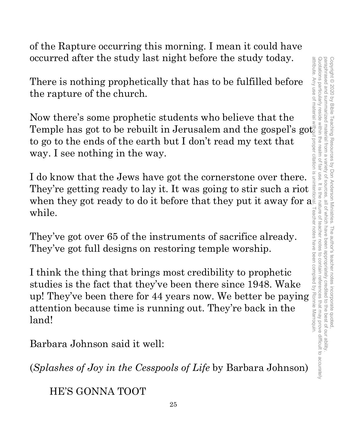Quotations particularly reside within the realm of fair use. It is the nature of teacher notes to contain references that may prove difficult to accurately paraphrased and summarized material from a attribute. Any use of material without proper citation is unintentional. Teacher notes have been compiled by Ronnie Marroquin.Quotations particularly reside within the realm of fair use. It is the nature of teacher notes to contain references that may prove difficult to accurately paraphrased and summarized material from a variety of sources, all of which have been appropriately credited to the best of our ability. Copyright © 2020 by Bible Teaching Resources Copyright © 2020 by Bible Teaching Resources by Don Anderson Ministries. The author's teacher notes incorporate quoted, variety of by Don Anderson Ministries. all of which have been The author's teacher notes incorporate quoted appropriately credited to the best of our ability

of the Rapture occurring this morning. I mean it could have occurred after the study last night before the study today.

There is nothing prophetically that has to be fulfilled before the rapture of the church.

Now there's some prophetic students who believe that the Temple has got to be rebuilt in Jerusalem and the gospel's got to go to the ends of the earth but I don't read my text that way. I see nothing in the way.

I do know that the Jews have got the cornerstone over there. They're getting ready to lay it. It was going to stir such a riot when they got ready to do it before that they put it away for  $a^{\frac{3}{2}}$ while.

They've got over 65 of the instruments of sacrifice already. They've got full designs on restoring temple worship.

I think the thing that brings most credibility to prophetic studies is the fact that they've been there since 1948. Wake while.<br>
They've got over 65 of the instruments of sacrifice already.<br>
They've got full designs on restoring temple worship.<br>
I think the thing that brings most credibility to prophetic<br>
studies is the fact that they've be attention because time is running out. They're back in the land!

Barbara Johnson said it well:

(*Splashes of Joy in the Cesspools of Life* by Barbara Johnson)

HE'S GONNA TOOT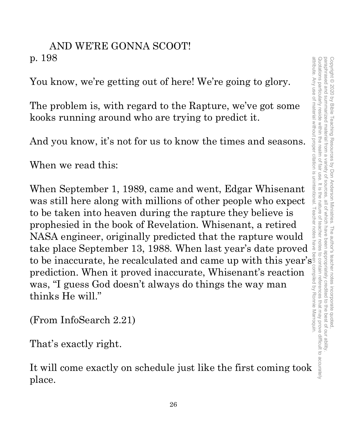# AND WE'RE GONNA SCOOT! p. 198

You know, we're getting out of here! We're going to glory.

The problem is, with regard to the Rapture, we've got some kooks running around who are trying to predict it.

And you know, it's not for us to know the times and seasons.

When we read this:

When September 1, 1989, came and went, Edgar Whisenant was still here along with millions of other people who expect to be taken into heaven during the rapture they believe is prophesied in the book of Revelation. Whisenant, a retired NASA engineer, originally predicted that the rapture would take place September 13, 1988. When last year's date proved to be inaccurate, he recalculated and came up with this year's prediction. When it proved inaccurate, Whisenant's reaction was, "I guess God doesn't always do things the way man thinks He will."

(From InfoSearch 2.21)

That's exactly right.

It will come exactly on schedule just like the first coming took place.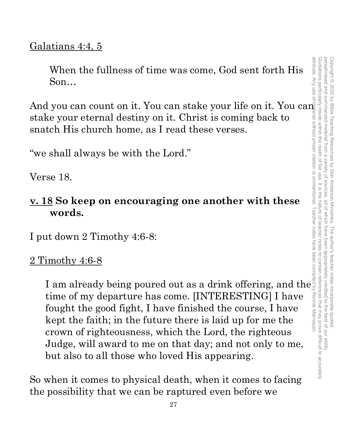# Galatians 4:4, 5

When the fullness of time was come, God sent forth His Son…

And you can count on it. You can stake your life on it. You can stake your eternal destiny on it. Christ is coming back to snatch His church home, as I read these verses. attribute. Any use of material without proper citation is unintentional. Teacher notes have been compiled by Ronnie Marroquin.

"we shall always be with the Lord."

Verse 18.

# **v. 18 So keep on encouraging one another with these words.**

I put down 2 Timothy 4:6-8:

# 2 Timothy 4:6-8

I am already being poured out as a drink offering, and the time of my departure has come. [INTERESTING] I have fought the good fight, I have finished the course, I have kept the faith; in the future there is laid up for me the crown of righteousness, which the Lord, the righteous Judge, will award to me on that day; and not only to me, but also to all those who loved His appearing.

So when it comes to physical death, when it comes to facing the possibility that we can be raptured even before we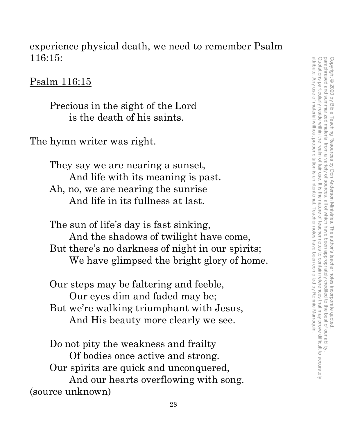experience physical death, we need to remember Psalm 116:15:

Psalm 116:15

Precious in the sight of the Lord is the death of his saints.

The hymn writer was right.

They say we are nearing a sunset, And life with its meaning is past. Ah, no, we are nearing the sunrise And life in its fullness at last.

The sun of life's day is fast sinking, And the shadows of twilight have come, But there's no darkness of night in our spirits; We have glimpsed the bright glory of home.

Our steps may be faltering and feeble, Our eyes dim and faded may be; But we're walking triumphant with Jesus, And His beauty more clearly we see.

Do not pity the weakness and frailty Of bodies once active and strong. Our spirits are quick and unconquered, And our hearts overflowing with song. (source unknown)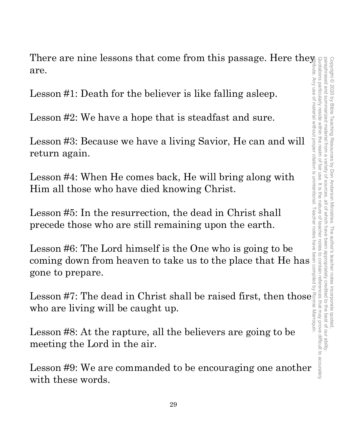There are nine lessons that come from this passage. Here they are.

Lesson #1: Death for the believer is like falling asleep.

Lesson #2: We have a hope that is steadfast and sure.

Lesson #3: Because we have a living Savior, He can and will return again.

Lesson #4: When He comes back, He will bring along with Him all those who have died knowing Christ.

Lesson #5: In the resurrection, the dead in Christ shall precede those who are still remaining upon the earth.

Lesson #6: The Lord himself is the One who is going to be coming down from heaven to take us to the place that He has gone to prepare.

Lesson #7: The dead in Christ shall be raised first, then those  $\frac{1}{2}$ who are living will be caught up.

Lesson #8: At the rapture, all the believers are going to be meeting the Lord in the air.

Lesson #9: We are commanded to be encouraging one another with these words.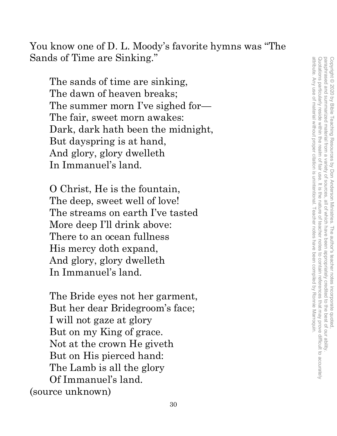You know one of D. L. Moody's favorite hymns was "The Sands of Time are Sinking."

The sands of time are sinking, The dawn of heaven breaks; The summer morn I've sighed for— The fair, sweet morn awakes: Dark, dark hath been the midnight, But dayspring is at hand, And glory, glory dwelleth In Immanuel's land.

O Christ, He is the fountain, The deep, sweet well of love! The streams on earth I've tasted More deep I'll drink above: There to an ocean fullness His mercy doth expand, And glory, glory dwelleth In Immanuel's land.

The Bride eyes not her garment, But her dear Bridegroom's face; I will not gaze at glory But on my King of grace. Not at the crown He giveth But on His pierced hand: The Lamb is all the glory Of Immanuel's land. (source unknown)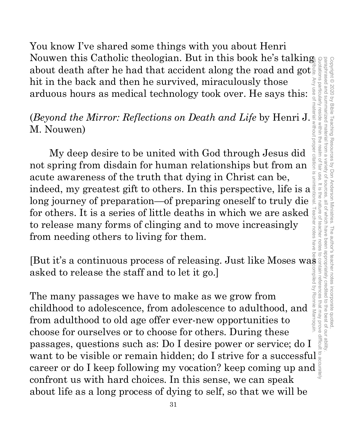paraphrased and summarized material from a attribute. Any use of material without proper citation is unintentional. Teacher notes have been compiled by Ronnie Marroquin.Quotations particularly reside within the realm of fair use. It is the nature of teacher notes to contain references that may prove difficult to accurately paraphrased and summarized material from a variety of sources, all of which have been appropriately credited to the best of our ability. Copyright © 2020 by Bible Teaching Resources Copyright © 2020 by Bible Teaching Resources by Don Anderson Ministries. The author's teacher notes incorporate quoted, variety of sources by Don Anderson Ministries. The author's teacher notes incorporate quoted all of Which have been appropriately credited to the best of our ability

You know I've shared some things with you about Henri Nouwen this Catholic theologian. But in this book he's talking about death after he had that accident along the road and got hit in the back and then he survived, miraculously those arduous hours as medical technology took over. He says this:

## (*Beyond the Mirror: Reflections on Death and Life* by Henri J. M. Nouwen)

My deep desire to be united with God through Jesus did not spring from disdain for human relationships but from an acute awareness of the truth that dying in Christ can be, indeed, my greatest gift to others. In this perspective, life is a long journey of preparation—of preparing oneself to truly die for others. It is a series of little deaths in which we are asked to release many forms of clinging and to move increasingly from needing others to living for them.

[But it's a continuous process of releasing. Just like Moses was asked to release the staff and to let it go.]

The many passages we have to make as we grow from childhood to adolescence, from adolescence to adulthood, and from adulthood to old age offer ever-new opportunities to choose for ourselves or to choose for others. During these passages, questions such as: Do I desire power or service; do I passages, questions such as: Do I desire power or service; do I strive for a successful want to be visible or remain hidden; do I strive for a successful  $\frac{1}{8}$  career or do I keep following my vocation? keep coming up career or do I keep following my vocation? keep coming up and confront us with hard choices. In this sense, we can speak about life as a long process of dying to self, so that we will be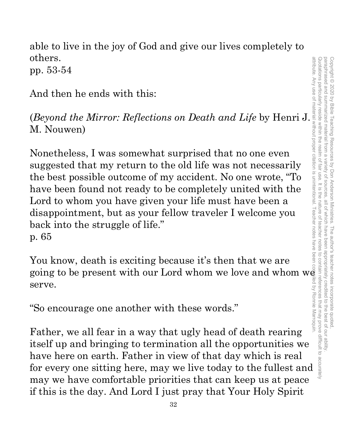able to live in the joy of God and give our lives completely to others. pp. 53-54

And then he ends with this:

(*Beyond the Mirror: Reflections on Death and Life* by Henri J. M. Nouwen)

Nonetheless, I was somewhat surprised that no one even suggested that my return to the old life was not necessarily the best possible outcome of my accident. No one wrote, "To have been found not ready to be completely united with the Lord to whom you have given your life must have been a disappointment, but as your fellow traveler I welcome you back into the struggle of life." p. 65

You know, death is exciting because it's then that we are going to be present with our Lord whom we love and whom we serve.

"So encourage one another with these words."

Father, we all fear in a way that ugly head of death rearing itself up and bringing to termination all the opportunities we have here on earth. Father in view of that day which is real for every one sitting here, may we live today to the fullest and may we have comfortable priorities that can keep us at peace if this is the day. And Lord I just pray that Your Holy Spirit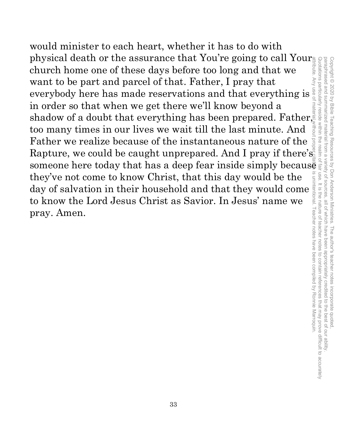would minister to each heart, whether it has to do with physical death or the assurance that You're going to call Your $_{\mathbb{B}}$ paraphrased and summarized material from a variety of sources, all of which have been appropriately credited to the best of our ability attribute. Any use of material without proper citation is unintentional. Teacher notes have been compiled by Ronnie Marroquin.Quotations particularly reside within the realm of fair use. It is the nature of teacher notes to contain references that may prove difficult to accurately paraphrased and summarized material from a variety of sources, all of which have been appropriately credited to the best of our ability. church home one of these days before too long and that we want to be part and parcel of that. Father, I pray that everybody here has made reservations and that everything is in order so that when we get there we'll know beyond a shadow of a doubt that everything has been prepared. Father, too many times in our lives we wait till the last minute. And Father we realize because of the instantaneous nature of the Rapture, we could be caught unprepared. And I pray if there's  $\frac{1}{2}$ someone here today that has a deep fear inside simply because they've not come to know Christ, that this day would be the day of salvation in their household and that they would come to know the Lord Jesus Christ as Savior. In Jesus' name we pray. Amen.

Copyright © 2020 by Bible Teaching Resources by Don Anderson Ministries. The author's teacher notes incorporate quoted,

Copyright © 2020 by Bible Teaching Resources by Don Anderson Ministries. The author's teacher notes incorporate quoted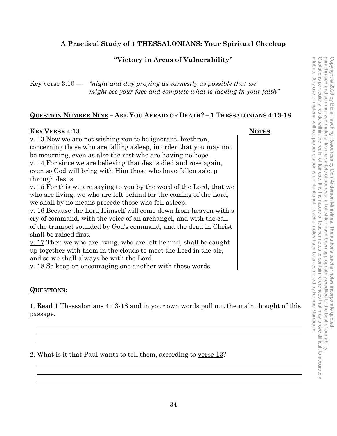#### **A Practical Study of 1 THESSALONIANS: Your Spiritual Checkup**

#### **"Victory in Areas of Vulnerability"**

| Key verse $3:10$ — | "night and day praying as earnestly as possible that we         |
|--------------------|-----------------------------------------------------------------|
|                    | might see your face and complete what is lacking in your faith" |

#### **QUESTION NUMBER NINE – ARE YOU AFRAID OF DEATH? – 1 THESSALONIANS 4:13-18**

#### **KEY VERSE 4:13** NOTES

v. 13 Now we are not wishing you to be ignorant, brethren, concerning those who are falling asleep, in order that you may not be mourning, even as also the rest who are having no hope.  $\underline{v}$ . 14 For since we are believing that Jesus died and rose again, even so God will bring with Him those who have fallen asleep through Jesus. v. 15 For this we are saying to you by the word of the Lord, that we

who are living, we who are left behind for the coming of the Lord, we shall by no means precede those who fell asleep.

v. 16 Because the Lord Himself will come down from heaven with a cry of command, with the voice of an archangel, and with the call of the trumpet sounded by God's command; and the dead in Christ shall be raised first.

v. 17 Then we who are living, who are left behind, shall be caught up together with them in the clouds to meet the Lord in the air, and so we shall always be with the Lord.

<u>v. 18</u> So keep on encouraging one another with these words.

#### **QUESTIONS:**

1. Read 1 Thessalonians 4:13-18 and in your own words pull out the main thought of this passage.

2. What is it that Paul wants to tell them, according to verse 13?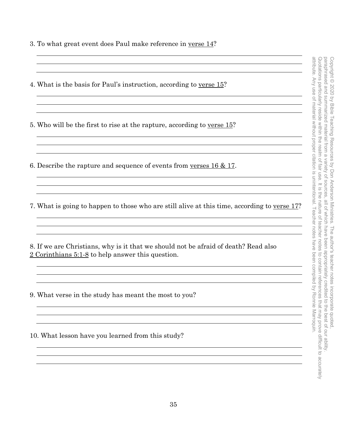- 3. To what great event does Paul make reference in verse 14?
- attribute. Any use of material without proper citation is unintentional. Teacher notes have been compiled by Ronnie Marroquin. Quotations particularly reside within the realm of fair use. It is the nature of teacher notes to contain references that may prove difficult to accurately attribute. Any use of material without proper citation is unintentional. Teacher notes have been compiled by Ronnie Marroquin.Quotations particularly reside within the realm of fair use. It is the nature of teacher notes to contain references that may prove difficult to accurately 4. What is the basis for Paul's instruction, according to verse 15? 5. Who will be the first to rise at the rapture, according to verse 15? <u> 1980 - Johann Barbara, martxa alemaniar argametar argametar argametar argametar argametar argametar argametar</u> <u> 1989 - Johann Stoff, deutscher Stoffen und der Stoffen und der Stoffen und der Stoffen und der Stoffen und d</u> 6. Describe the rapture and sequence of events from verses 16 & 17. <u> 1989 - Johann Stoff, amerikansk politiker (d. 1989)</u> <u> 1980 - Johann Barnett, fransk politik (d. 1980)</u> 7. What is going to happen to those who are still alive at this time, according to verse 17? <u> 1989 - Johann Stoff, amerikansk politiker (\* 1908)</u> 8. If we are Christians, why is it that we should not be afraid of death? Read also 2 Corinthians 5:1-8 to help answer this question. 9. What verse in the study has meant the most to you? 10. What lesson have you learned from this study? <u> 1989 - Johann Barbara, martin amerikan basar dan berasal dan berasal dalam basar dalam basar dalam basar dala</u>

Copyright © 2020 by Bible Teaching Resources by Don Anderson Ministries. The author's teacher notes incorporate quoted,

Copyright © 2020 by Bible Teaching Resources by Don Anderson Ministries. The author's teacher notes incorporate quoted

paraphrased and summarized material from a variety of sources, all of which have been appropriately credited to the best of our ability.

all of which have been appropriately credited

to the best of our ability

variety of sources.

paraphrased and summarized material from a